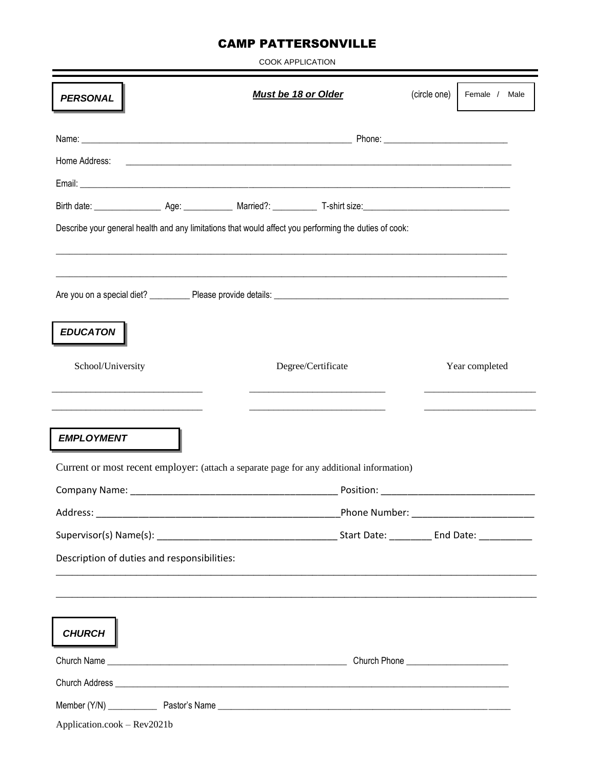## **CAMP PATTERSONVILLE**

| <b>COOK APPLICATION</b>                                                                               |                                      |                                                                                                                      |                                                                                                                       |  |                |  |  |  |  |  |  |
|-------------------------------------------------------------------------------------------------------|--------------------------------------|----------------------------------------------------------------------------------------------------------------------|-----------------------------------------------------------------------------------------------------------------------|--|----------------|--|--|--|--|--|--|
| <b>PERSONAL</b>                                                                                       | Must be 18 or Older                  |                                                                                                                      |                                                                                                                       |  | Female / Male  |  |  |  |  |  |  |
|                                                                                                       |                                      |                                                                                                                      |                                                                                                                       |  |                |  |  |  |  |  |  |
| Home Address:                                                                                         |                                      | <u> 1989 - Johann John Harry Harry Harry Harry Harry Harry Harry Harry Harry Harry Harry Harry Harry Harry Harry</u> |                                                                                                                       |  |                |  |  |  |  |  |  |
|                                                                                                       |                                      |                                                                                                                      |                                                                                                                       |  |                |  |  |  |  |  |  |
|                                                                                                       |                                      |                                                                                                                      |                                                                                                                       |  |                |  |  |  |  |  |  |
| Describe your general health and any limitations that would affect you performing the duties of cook: |                                      |                                                                                                                      |                                                                                                                       |  |                |  |  |  |  |  |  |
|                                                                                                       |                                      |                                                                                                                      |                                                                                                                       |  |                |  |  |  |  |  |  |
|                                                                                                       |                                      |                                                                                                                      |                                                                                                                       |  |                |  |  |  |  |  |  |
| <b>EDUCATON</b>                                                                                       |                                      |                                                                                                                      |                                                                                                                       |  |                |  |  |  |  |  |  |
| School/University                                                                                     |                                      |                                                                                                                      | Degree/Certificate                                                                                                    |  | Year completed |  |  |  |  |  |  |
|                                                                                                       |                                      |                                                                                                                      |                                                                                                                       |  |                |  |  |  |  |  |  |
| <b>EMPLOYMENT</b>                                                                                     |                                      |                                                                                                                      |                                                                                                                       |  |                |  |  |  |  |  |  |
|                                                                                                       |                                      | Current or most recent employer: (attach a separate page for any additional information)                             |                                                                                                                       |  |                |  |  |  |  |  |  |
| Company Name:                                                                                         |                                      |                                                                                                                      | Position:                                                                                                             |  |                |  |  |  |  |  |  |
|                                                                                                       | Phone Number: National Phone Number: |                                                                                                                      |                                                                                                                       |  |                |  |  |  |  |  |  |
|                                                                                                       |                                      |                                                                                                                      |                                                                                                                       |  |                |  |  |  |  |  |  |
| Description of duties and responsibilities:                                                           |                                      |                                                                                                                      |                                                                                                                       |  |                |  |  |  |  |  |  |
|                                                                                                       |                                      |                                                                                                                      | <u> 1989 - Johann John Stone, menydd y cyfeiriad y cyfeiriad y cyfeiriad y cyfeiriad y cyfeiriad y cyfeiriad y cy</u> |  |                |  |  |  |  |  |  |
|                                                                                                       |                                      |                                                                                                                      |                                                                                                                       |  |                |  |  |  |  |  |  |
| <b>CHURCH</b>                                                                                         |                                      |                                                                                                                      |                                                                                                                       |  |                |  |  |  |  |  |  |
|                                                                                                       |                                      |                                                                                                                      |                                                                                                                       |  |                |  |  |  |  |  |  |
|                                                                                                       |                                      |                                                                                                                      |                                                                                                                       |  |                |  |  |  |  |  |  |
|                                                                                                       |                                      |                                                                                                                      |                                                                                                                       |  |                |  |  |  |  |  |  |
| Application.cook - Rev2021b                                                                           |                                      |                                                                                                                      |                                                                                                                       |  |                |  |  |  |  |  |  |